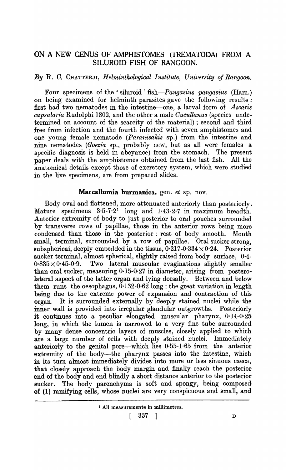# ON A NEW GENUS OF AMPHISTOMES (TREMATODA) FROM A SILUROID FISH OF RANGOON.

## *By* R. C. CHATTERJI, *Helminthological Institute, University of Rangoon.*

Four specimens of the 'siluroid' fish—*Pangasius pangasius* (Ham.) on being examined for helminth parasites gave the following results: first had two nematodes in the intestine-one, a larval form of *Ascaris capsularia* Rudolphi 1802, and the other a male *Oucullanus* (species undetermined on account of the scarcity of the material) ; second and third free from infection and the fourth infected with seven amphistomes and one young female nematode *(Paranisakis* sp.) from the intestine and nine nematodes *(Goezia* sp., probably new, but as all were females a specific diagnosis is held in abeyance) from the stomach. The present paper deals with the amphistomes obtained from the last fish. All the anatomical details except those of excretory system, which were studied in the live specimens, are from prepared slides.

### Maccallumia burmanica, gen. *et* sp. nov.

Body oval and flattened, more attenuated anteriorly than posteriorly. Mature specimens 3.5-7.21 long and 1·43-2·7 in maximum breadth. Anterior extremity of body to just posterior to oral pouches surrounded by transverse rows of papillae, those in the anterior rows being more condensed than those in the posterior: rest of body smooth. Mouth small, terminal, surrounded by a row of papillae. Oral sucker strong, subspherical, deeply embedded in the tissue,  $0.217 \cdot 0.334 \times 0.24$ . Posterior sucker terminal, almost spherical, slightly raised from body surface, 0·4-  $0.835 \times 0.45 - 0.9$ . Two lateral muscular evaginations slightly smaller than oral sucker, measuring 0·15-0·27 in diameter, arising from posterolateral aspect of the latter organ and lying dorsally. Between and below them runs the oesophagus,  $0.132-0.62$  long : the great variation in length being due to the extreme power of expansion and contraction of this organ. It is surrounded externally by deeply stained nuclei while the inner wall is provided into irregular glandular outgrowths. Posteriorly it continues into a peculiar elongated muscular pharynx, 0·14-0·25 long, in which the lumen is narrowed to a very fine tube surrounded by many dense concentric layers of muscles, closely applied to which are a large number of cells with deeply stained nuclei. Immediately anteriorly to the genital pore-which lies 0·55-1·65 from the anterior extremity of the body—the pharynx passes into the intestine, which in its turn almost immediately divides into more or less sinuous caeca, that closely approach the body margin and finally reach the posterior end of the body and end blindly a short distance anterior to the posterior sucker. The body parenchyma is soft and spongy, being composed of (1) ramifying cells, whose nuclei are very conspicuous and small, and

 $\begin{bmatrix} 337 \end{bmatrix}$  D

<sup>1</sup> All measurements in millimetres.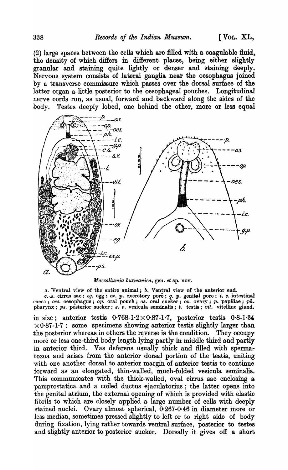$(2)$  large spaces between the cells which are filled with a coagulable fluid. the density of which differs in different places, being either slightly granular and staining quite lightly or denser and staining deeply. Nervous system consists of lateral ganglia near the oesophagus joined by a transverse commissure which passes over the dorsal surface of the latter organ a little posterior to the oesophageal pouches. Longitudinal nerve cords run, as usual, forward and backward along the sides of the body. Testes deeply lobed, one behind the other, more or less equal



*Maccallumia burmanica,* gen. *et* sp. nov.

*u.* Ventral view of the entire animal; *b.* Ventral view of the anterior end. c. s. cirrus sac; eg. egg; ex. p. excretory pore; g. p. genital pore; *i. c.* intestinal caeca; *oes.* oesophagus; *op.* oral pouch; *os.* oral sucker; *ov.* ovary; *p.* papillae; *ph.* pharynx; ps. posterior sucker; s. v. vesicula seminalis; t. testis; vit. vitelline gland.

in size; anterior testis  $0.768-1.2 \times 0.87-1.7$ , posterior testis  $0.8-1.34$  $\times 0.87 - 1.7$ : some specimens showing anterior testis slightly larger than the posterior whereas in others the reverse is the condition. They occupy more or less one-third body length lying partly in middle third and partly in anterior third. Vas deferens usually thick and filled with spermatozoa and arises from the anterior dorsal portion of the testis, uniting with one another dorsal to anterior margin of anterior testis to continue forward as an elongated, thin-walled, much-folded vesicula seminalis. This communicates with the thick-walled, oval cirrus sac enclosing a parsprostatica and a coiled ductus ejaculatorius; the latter opens into the genital atrium, the external opening of which is provided with elastic fibrils to which are closely applied a large number of cells with deeply stained nuclei. Ovary almost spherical, 0-267-0·46 in diameter more or less median, sometimes pressed slightly to left or to right side of body during fixation, lying rather towards ventral surface, posterior to testes and slightly anterior to posterior sucker. Dorsally it gives off a short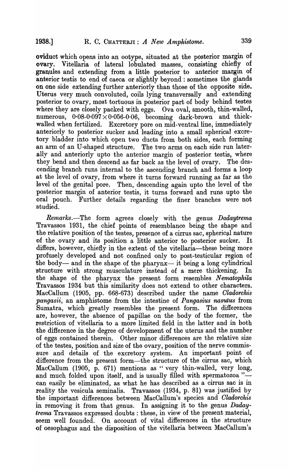oviduct which opens into an ootype, situated at the posterior margin of ovary. Vitellaria of lateral lobulated masses, consisting chiefly of granules and extending from a little posterior to anterior margin of anterior testis to end of caeca or slightly beyond : sometimes the glands on one side extending further anteriorly than those of the opposite side. Uterus very much convoluted, coils lying transversally and extending posterior to ovary, most tortuous in posterior part of body behind testes where they are closely packed with eggs. Ova oval, smooth, thin-walled, numerous,  $0.08-0.097 \times 0.056-0.06$ , becoming dark-brown and thickwalled when fertilized. Excretory pore on mid-ventral line, immediately anteriorly to posterior sucker and leading into a small spherical excre tory bladder into which open two ducts from both sides, each forming -an arm of an U-shaped structure. The two arms on each side run laterally and anteriorly upto the anterior margin of posterior testis, where they bend and then descend as far back as the level of ovary. The descending branch runs internal to the ascending branch and forms a loop at the level of ovary, from where it turns forward running as far as the level of the genital pore. Then, descending again upto the level of the posterior margin of anterior testis, it turns forward and runs upto the oral pouch. Further details regarding the finer branches were not studied.

Remarks.-The form agrees closely with the genus *Dadaytrema* Travassos 1931, the chief points of resemblance being the shape and the relative position of the testes, presence of a cirrus sac, spherical nature of the ovary and its position a little anterior to posterior sucker. It differs, however, chiefly in the extent of the vitellaria—these being more profusely developed and not confined only to post-testicular region of the body- and in the shape of the pharynx- it being a long cylindrical structure with strong musculature instead of a mere thickening. In the shape of the pharynx the present form resembles *Nematophila* Tra vassos 1934 but this similarity does not extend to other characters. MacCallum (1905, pp. 668-673) described under the name *Oladorchis pangasii,* an amphistome from the intestine of *Pangasius nasutus* from Sumatra, which greatly resembles the present form. The differences are, however, the absence of papillae on the body of the former, the restriction of vitellaria to a more limited field in the latter and in both the difference in the degree of development of the uterus and the number of eggs contained therein. Other minor differences are the relative size of the testes, position and size of the ovary, position of the nerve commissure and details of the excretory system. An important point of difference from the present form—the structure of the cirrus sac, which MacCallum (1905, p. 671) mentions as "very thin-walled, very long, and much folded upon itself, and is usually filled with spermatozoa "can easily be eliminated, as what he has described as a cirrus sac is in reality the vesicula seminalis. Travassos (1934, p. 81) was justified by the important differences between MacCallum's species and *Oladorchis*  in removing it from that genus. In assigning it to the genus *Dadaytrema* Travassos expressed doubts: these, in view of the present material, seem well founded. On account of vital differences in the structure of oesophagus and the disposition of the vitellaria between MacCallum's